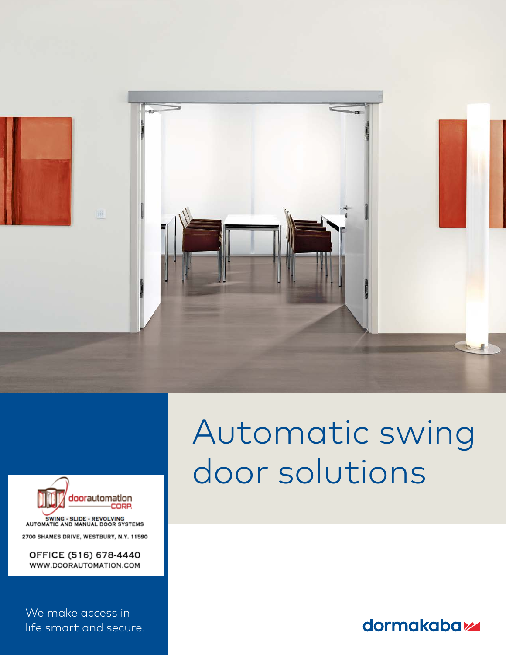



OFFICE (516) 678-4440 WWW.DOORAUTOMATION.COM

We make access in life smart and secure.

# Automatic swing door solutions

dormakabaz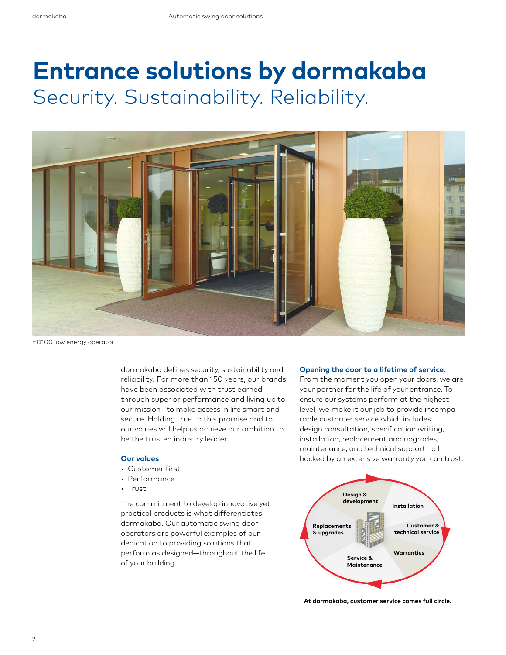# **Entrance solutions by dormakaba** Security. Sustainability. Reliability.



ED100 low energy operator

dormakaba defines security, sustainability and reliability. For more than 150 years, our brands have been associated with trust earned through superior performance and living up to our mission—to make access in life smart and secure. Holding true to this promise and to our values will help us achieve our ambition to be the trusted industry leader.

#### **Our values**

- Customer first
- Performance
- Trust

The commitment to develop innovative yet practical products is what differentiates dormakaba. Our automatic swing door operators are powerful examples of our dedication to providing solutions that perform as designed—throughout the life of your building.

#### **Opening the door to a lifetime of service.**

From the moment you open your doors, we are your partner for the life of your entrance. To ensure our systems perform at the highest level, we make it our job to provide incomparable customer service which includes: design consultation, specification writing, installation, replacement and upgrades, maintenance, and technical support—all backed by an extensive warranty you can trust.



**At dormakaba, customer service comes full circle.**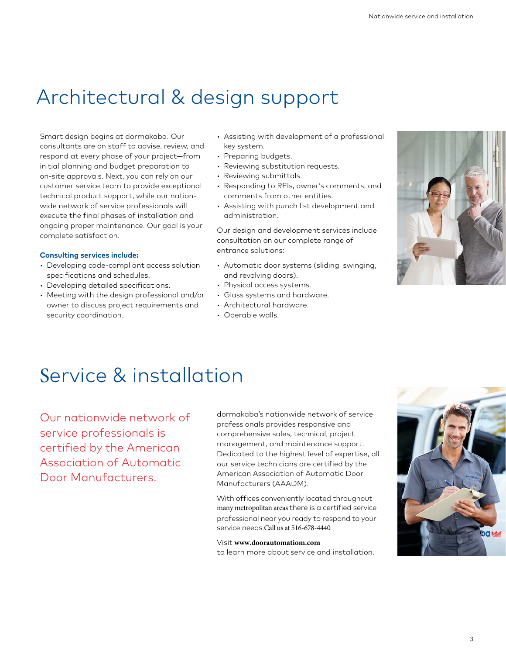# Architectural & design support

Smart design begins at dormakaba. Our consultants are on staff to advise, review, and respond at every phase of your project—from initial planning and budget preparation to on-site approvals. Next, you can rely on our customer service team to provide exceptional technical product support, while our nationwide network of service professionals will execute the final phases of installation and ongoing proper maintenance. Our goal is your complete satisfaction.

#### **Consulting services include:**

- Developing code-compliant access solution specifications and schedules.
- Developing detailed specifications.
- Meeting with the design professional and/or owner to discuss project requirements and security coordination.
- Assisting with development of a professional key system.
- Preparing budgets.
- Reviewing substitution requests.
- Reviewing submittals.
- Responding to RFIs, owner's comments, and comments from other entities.
- Assisting with punch list development and administration.

Our design and development services include consultation on our complete range of entrance solutions:

- Automatic door systems (sliding, swinging, and revolving doors).
- Physical access systems.
- Glass systems and hardware.
- Architectural hardware.
- Operable walls.



## Service & installation

Our nationwide network of service professionals is certified by the American Association of Automatic Door Manufacturers.

dormakaba's nationwide network of service professionals provides responsive and comprehensive sales, technical, project management, and maintenance support. Dedicated to the highest level of expertise, all our service technicians are certified by the American Association of Automatic Door Manufacturers (AAADM).

With offices conveniently located throughout many metropolitan areas there is a certified service professional near you ready to respond to your service needs.Call us at 516-678-4440

#### Visit **www.doorautomatiom.com**

to learn more about service and installation.

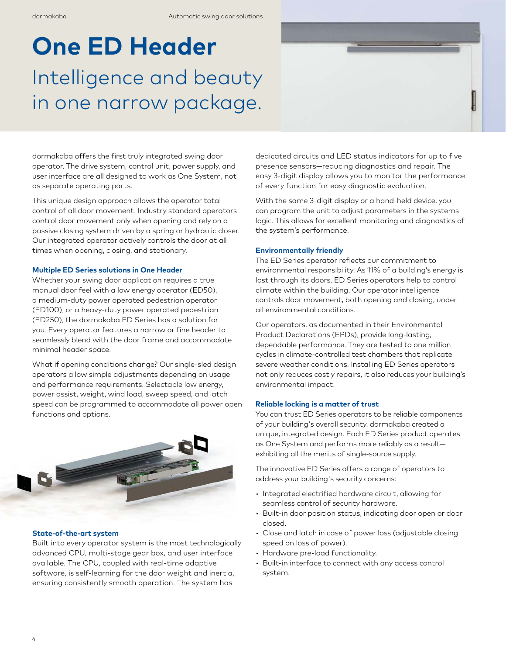# **One ED Header** Intelligence and beauty in one narrow package.

dormakaba offers the first truly integrated swing door operator. The drive system, control unit, power supply, and user interface are all designed to work as One System, not as separate operating parts.

This unique design approach allows the operator total control of all door movement. Industry standard operators control door movement only when opening and rely on a passive closing system driven by a spring or hydraulic closer. Our integrated operator actively controls the door at all times when opening, closing, and stationary.

#### **Multiple ED Series solutions in One Header**

Whether your swing door application requires a true manual door feel with a low energy operator (ED50), a medium-duty power operated pedestrian operator (ED100), or a heavy-duty power operated pedestrian (ED250), the dormakaba ED Series has a solution for you. Every operator features a narrow or fine header to seamlessly blend with the door frame and accommodate minimal header space.

What if opening conditions change? Our single-sled design operators allow simple adjustments depending on usage and performance requirements. Selectable low energy, power assist, weight, wind load, sweep speed, and latch speed can be programmed to accommodate all power open functions and options.



#### **State-of-the-art system**

Built into every operator system is the most technologically advanced CPU, multi-stage gear box, and user interface available. The CPU, coupled with real-time adaptive software, is self-learning for the door weight and inertia, ensuring consistently smooth operation. The system has

dedicated circuits and LED status indicators for up to five presence sensors—reducing diagnostics and repair. The easy 3-digit display allows you to monitor the performance of every function for easy diagnostic evaluation.

With the same 3-digit display or a hand-held device, you can program the unit to adjust parameters in the systems logic. This allows for excellent monitoring and diagnostics of the system's performance.

#### **Environmentally friendly**

The ED Series operator reflects our commitment to environmental responsibility. As 11% of a building's energy is lost through its doors, ED Series operators help to control climate within the building. Our operator intelligence controls door movement, both opening and closing, under all environmental conditions.

Our operators, as documented in their Environmental Product Declarations (EPDs), provide long-lasting, dependable performance. They are tested to one million cycles in climate-controlled test chambers that replicate severe weather conditions. Installing ED Series operators not only reduces costly repairs, it also reduces your building's environmental impact.

#### **Reliable locking is a matter of trust**

You can trust ED Series operators to be reliable components of your building's overall security. dormakaba created a unique, integrated design. Each ED Series product operates as One System and performs more reliably as a result exhibiting all the merits of single-source supply.

The innovative ED Series offers a range of operators to address your building's security concerns:

- Integrated electrified hardware circuit, allowing for seamless control of security hardware.
- Built-in door position status, indicating door open or door closed.
- Close and latch in case of power loss (adjustable closing speed on loss of power).
- Hardware pre-load functionality.
- Built-in interface to connect with any access control system.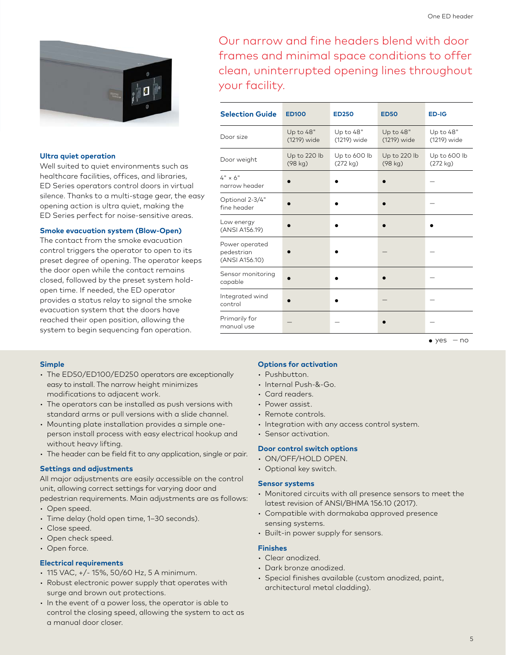

#### **Ultra quiet operation**

Well suited to quiet environments such as healthcare facilities, offices, and libraries, ED Series operators control doors in virtual silence. Thanks to a multi-stage gear, the easy opening action is ultra quiet, making the ED Series perfect for noise-sensitive areas.

#### **Smoke evacuation system (Blow-Open)**

The contact from the smoke evacuation control triggers the operator to open to its preset degree of opening. The operator keeps the door open while the contact remains closed, followed by the preset system holdopen time. If needed, the ED operator provides a status relay to signal the smoke evacuation system that the doors have reached their open position, allowing the system to begin sequencing fan operation.

Our narrow and fine headers blend with door frames and minimal space conditions to offer clean, uninterrupted opening lines throughout your facility.

| <b>Selection Guide</b>                         | <b>ED100</b>             | <b>ED250</b>             | <b>ED50</b>              | ED-IG                    |
|------------------------------------------------|--------------------------|--------------------------|--------------------------|--------------------------|
| Door size                                      | Up to 48"<br>(1219) wide | Up to 48"<br>(1219) wide | Up to 48"<br>(1219) wide | Up to 48"<br>(1219) wide |
| Door weight                                    | Up to 220 lb<br>(98 kg)  | Up to 600 lb<br>(272 kg) | Up to 220 lb<br>(98 kg)  | Up to 600 lb<br>(272 kg) |
| $4" \times 6"$<br>narrow header                |                          |                          |                          |                          |
| Optional 2-3/4"<br>fine header                 |                          |                          |                          |                          |
| Low energy<br>(ANSI A156.19)                   |                          |                          |                          |                          |
| Power operated<br>pedestrian<br>(ANSI A156.10) |                          |                          |                          |                          |
| Sensor monitoring<br>capable                   |                          |                          |                          |                          |
| Integrated wind<br>control                     |                          |                          |                          |                          |
| Primarily for<br>manual use                    |                          |                          |                          |                          |
|                                                |                          |                          |                          | $\bullet$ yes<br>— no    |

#### **Simple**

- The ED50/ED100/ED250 operators are exceptionally easy to install. The narrow height minimizes modifications to adjacent work.
- The operators can be installed as push versions with standard arms or pull versions with a slide channel.
- Mounting plate installation provides a simple oneperson install process with easy electrical hookup and without heavy lifting.
- The header can be field fit to any application, single or pair.

#### **Settings and adjustments**

All major adjustments are easily accessible on the control unit, allowing correct settings for varying door and pedestrian requirements. Main adjustments are as follows:

- Open speed.
- Time delay (hold open time, 1–30 seconds).
- Close speed.
- Open check speed.
- Open force.

#### **Electrical requirements**

- 115 VAC, +/- 15%, 50/60 Hz, 5 A minimum.
- Robust electronic power supply that operates with surge and brown out protections.
- In the event of a power loss, the operator is able to control the closing speed, allowing the system to act as a manual door closer.

#### **Options for activation**

- Pushbutton.
- Internal Push-&-Go.
- Card readers.
- Power assist.
- Remote controls.

• Sensor activation.

• Integration with any access control system.

#### **Door control switch options**

- ON/OFF/HOLD OPEN.
- Optional key switch.

#### **Sensor systems**

- Monitored circuits with all presence sensors to meet the latest revision of ANSI/BHMA 156.10 (2017).
- Compatible with dormakaba approved presence sensing systems.
- Built-in power supply for sensors.

#### **Finishes**

- Clear anodized.
- Dark bronze anodized.
- Special finishes available (custom anodized, paint, architectural metal cladding).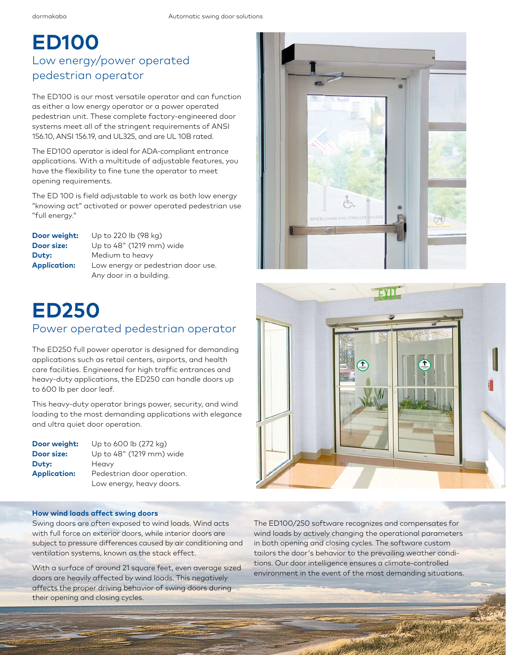### **ED100**  Low energy/power operated pedestrian operator

The ED100 is our most versatile operator and can function as either a low energy operator or a power operated pedestrian unit. These complete factory-engineered door systems meet all of the stringent requirements of ANSI 156.10, ANSI 156.19, and UL325, and are UL 10B rated.

The ED100 operator is ideal for ADA-compliant entrance applications. With a multitude of adjustable features, you have the flexibility to fine tune the operator to meet opening requirements.

The ED 100 is field adjustable to work as both low energy "knowing act" activated or power operated pedestrian use "full energy."

| Door weight:        | Up to 220 lb (98 kg)               |
|---------------------|------------------------------------|
| Door size:          | Up to 48" (1219 mm) wide           |
| Duty:               | Medium to heavy                    |
| <b>Application:</b> | Low energy or pedestrian door use. |
|                     | Any door in a building.            |

### **ED250** Power operated pedestrian operator

The ED250 full power operator is designed for demanding applications such as retail centers, airports, and health care facilities. Engineered for high traffic entrances and heavy-duty applications, the ED250 can handle doors up to 600 lb per door leaf.

This heavy-duty operator brings power, security, and wind loading to the most demanding applications with elegance and ultra quiet door operation.

| Door weight:        | Up to 600 lb (272 kg)      |
|---------------------|----------------------------|
| Door size:          | Up to 48" (1219 mm) wide   |
| Duty:               | Heavy                      |
| <b>Application:</b> | Pedestrian door operation. |
|                     | Low energy, heavy doors.   |

#### **How wind loads affect swing doors**

6

Swing doors are often exposed to wind loads. Wind acts with full force on exterior doors, while interior doors are subject to pressure differences caused by air conditioning and ventilation systems, known as the stack effect.

With a surface of around 21 square feet, even average sized doors are heavily affected by wind loads. This negatively affects the proper driving behavior of swing doors during their opening and closing cycles.





The ED100/250 software recognizes and compensates for wind loads by actively changing the operational parameters in both opening and closing cycles. The software custom tailors the door's behavior to the prevailing weather conditions. Our door intelligence ensures a climate-controlled environment in the event of the most demanding situations.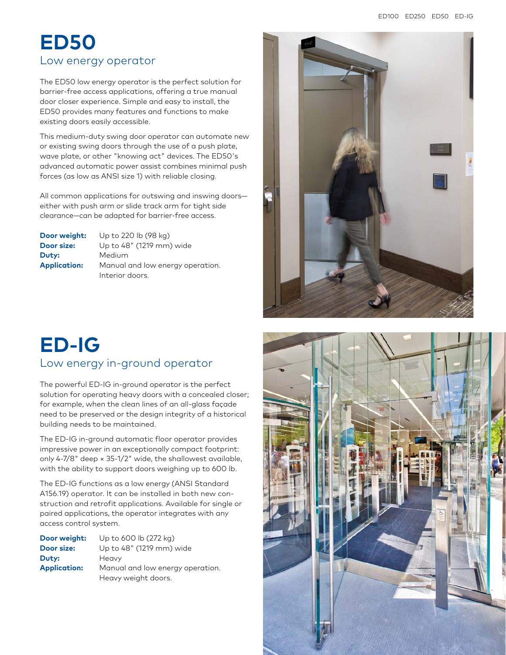### **ED50** Low energy operator

The ED50 low energy operator is the perfect solution for barrier-free access applications, offering a true manual door closer experience. Simple and easy to install, the ED50 provides many features and functions to make existing doors easily accessible.

This medium-duty swing door operator can automate new or existing swing doors through the use of a push plate, wave plate, or other "knowing act" devices. The ED50's advanced automatic power assist combines minimal push forces (as low as ANSI size 1) with reliable closing.

All common applications for outswing and inswing doors either with push arm or slide track arm for tight side clearance—can be adapted for barrier-free access.

| Door weight:        | Up to 220 lb (98 kg)             |
|---------------------|----------------------------------|
| Door size:          | Up to 48" (1219 mm) wide         |
| <b>Duty:</b>        | Medium                           |
| <b>Application:</b> | Manual and low energy operation. |
|                     | Interior doors.                  |

### **ED-IG** Low energy in-ground operator

The powerful ED-IG in-ground operator is the perfect solution for operating heavy doors with a concealed closer; for example, when the clean lines of an all-glass façade need to be preserved or the design integrity of a historical building needs to be maintained.

The ED-IG in-ground automatic floor operator provides impressive power in an exceptionally compact footprint: only 4-7/8" deep × 35-1/2" wide, the shallowest available, with the ability to support doors weighing up to 600 lb.

The ED-IG functions as a low energy (ANSI Standard A156.19) operator. It can be installed in both new construction and retrofit applications. Available for single or paired applications, the operator integrates with any access control system.

| Door weight:        | Up to 600 lb (272 kg)            |
|---------------------|----------------------------------|
| Door size:          | Up to 48" (1219 mm) wide         |
| Duty:               | Heavy                            |
| <b>Application:</b> | Manual and low energy operation. |
|                     | Heavy weight doors.              |